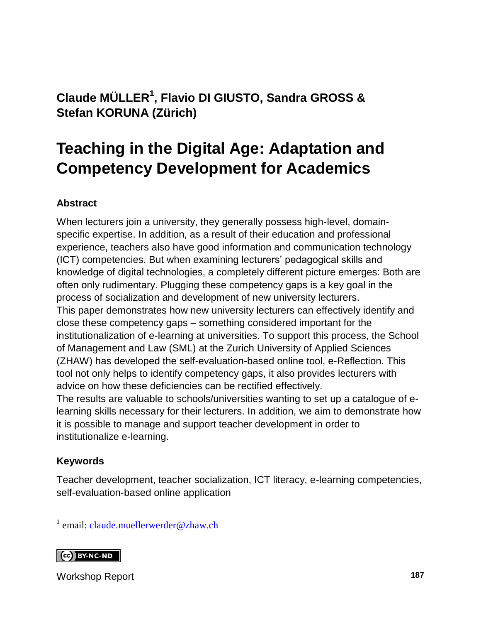### **Claude MÜLLER<sup>1</sup> , Flavio DI GIUSTO, Sandra GROSS & Stefan KORUNA (Zürich)**

## **Teaching in the Digital Age: Adaptation and Competency Development for Academics**

#### **Abstract**

When lecturers join a university, they generally possess high-level, domainspecific expertise. In addition, as a result of their education and professional experience, teachers also have good information and communication technology (ICT) competencies. But when examining lecturers' pedagogical skills and knowledge of digital technologies, a completely different picture emerges: Both are often only rudimentary. Plugging these competency gaps is a key goal in the process of socialization and development of new university lecturers. This paper demonstrates how new university lecturers can effectively identify and close these competency gaps – something considered important for the institutionalization of e-learning at universities. To support this process, the School of Management and Law (SML) at the Zurich University of Applied Sciences (ZHAW) has developed the self-evaluation-based online tool, e-Reflection. This tool not only helps to identify competency gaps, it also provides lecturers with advice on how these deficiencies can be rectified effectively. The results are valuable to schools/universities wanting to set up a catalogue of elearning skills necessary for their lecturers. In addition, we aim to demonstrate how it is possible to manage and support teacher development in order to

#### **Keywords**

l

institutionalize e-learning.

Teacher development, teacher socialization, ICT literacy, e-learning competencies, self-evaluation-based online application

<sup>1</sup> email: [claude.muellerwerder@zhaw.ch](mailto:claude.muellerwerder@zhaw.ch)

#### **CO** BY-NC-ND

Workshop Report **187**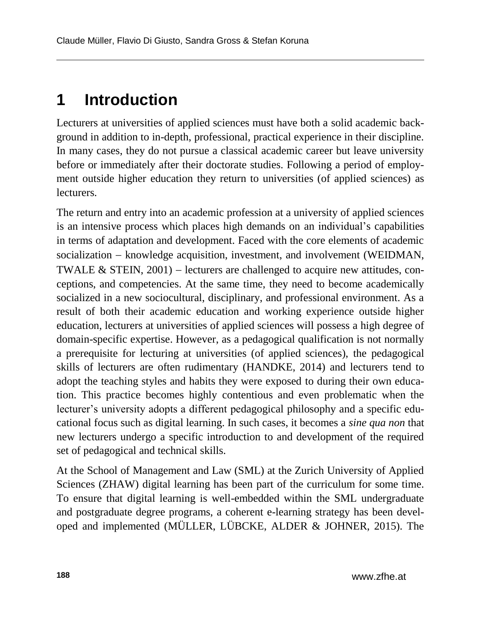## **1 Introduction**

Lecturers at universities of applied sciences must have both a solid academic background in addition to in-depth, professional, practical experience in their discipline. In many cases, they do not pursue a classical academic career but leave university before or immediately after their doctorate studies. Following a period of employment outside higher education they return to universities (of applied sciences) as lecturers.

The return and entry into an academic profession at a university of applied sciences is an intensive process which places high demands on an individual's capabilities in terms of adaptation and development. Faced with the core elements of academic socialization - knowledge acquisition, investment, and involvement (WEIDMAN, TWALE  $&$  STEIN, 2001) – lecturers are challenged to acquire new attitudes, conceptions, and competencies. At the same time, they need to become academically socialized in a new sociocultural, disciplinary, and professional environment. As a result of both their academic education and working experience outside higher education, lecturers at universities of applied sciences will possess a high degree of domain-specific expertise. However, as a pedagogical qualification is not normally a prerequisite for lecturing at universities (of applied sciences), the pedagogical skills of lecturers are often rudimentary (HANDKE, 2014) and lecturers tend to adopt the teaching styles and habits they were exposed to during their own education. This practice becomes highly contentious and even problematic when the lecturer's university adopts a different pedagogical philosophy and a specific educational focus such as digital learning. In such cases, it becomes a *sine qua non* that new lecturers undergo a specific introduction to and development of the required set of pedagogical and technical skills.

At the School of Management and Law (SML) at the Zurich University of Applied Sciences (ZHAW) digital learning has been part of the curriculum for some time. To ensure that digital learning is well-embedded within the SML undergraduate and postgraduate degree programs, a coherent e-learning strategy has been developed and implemented (MÜLLER, LÜBCKE, ALDER & JOHNER, 2015). The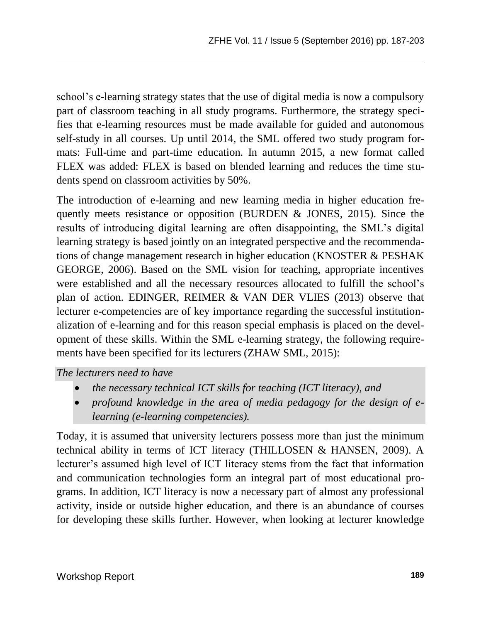school's e-learning strategy states that the use of digital media is now a compulsory part of classroom teaching in all study programs. Furthermore, the strategy specifies that e-learning resources must be made available for guided and autonomous self-study in all courses. Up until 2014, the SML offered two study program formats: Full-time and part-time education. In autumn 2015, a new format called FLEX was added: FLEX is based on blended learning and reduces the time students spend on classroom activities by 50%.

The introduction of e-learning and new learning media in higher education frequently meets resistance or opposition (BURDEN & JONES, 2015). Since the results of introducing digital learning are often disappointing, the SML's digital learning strategy is based jointly on an integrated perspective and the recommendations of change management research in higher education (KNOSTER & PESHAK GEORGE, 2006). Based on the SML vision for teaching, appropriate incentives were established and all the necessary resources allocated to fulfill the school's plan of action. EDINGER, REIMER & VAN DER VLIES (2013) observe that lecturer e-competencies are of key importance regarding the successful institutionalization of e-learning and for this reason special emphasis is placed on the development of these skills. Within the SML e-learning strategy, the following requirements have been specified for its lecturers (ZHAW SML, 2015):

#### *The lecturers need to have*

- *the necessary technical ICT skills for teaching (ICT literacy), and*
- *profound knowledge in the area of media pedagogy for the design of elearning (e-learning competencies).*

Today, it is assumed that university lecturers possess more than just the minimum technical ability in terms of ICT literacy (THILLOSEN & HANSEN, 2009). A lecturer's assumed high level of ICT literacy stems from the fact that information and communication technologies form an integral part of most educational programs. In addition, ICT literacy is now a necessary part of almost any professional activity, inside or outside higher education, and there is an abundance of courses for developing these skills further. However, when looking at lecturer knowledge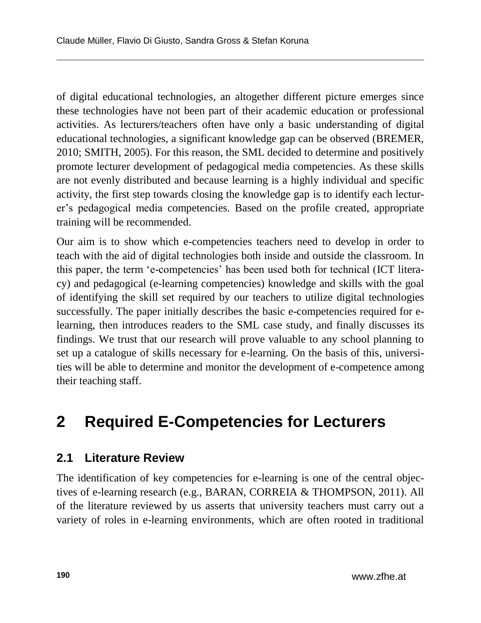of digital educational technologies, an altogether different picture emerges since these technologies have not been part of their academic education or professional activities. As lecturers/teachers often have only a basic understanding of digital educational technologies, a significant knowledge gap can be observed (BREMER, 2010; SMITH, 2005). For this reason, the SML decided to determine and positively promote lecturer development of pedagogical media competencies. As these skills are not evenly distributed and because learning is a highly individual and specific activity, the first step towards closing the knowledge gap is to identify each lecturer's pedagogical media competencies. Based on the profile created, appropriate training will be recommended.

Our aim is to show which e-competencies teachers need to develop in order to teach with the aid of digital technologies both inside and outside the classroom. In this paper, the term 'e-competencies' has been used both for technical (ICT literacy) and pedagogical (e-learning competencies) knowledge and skills with the goal of identifying the skill set required by our teachers to utilize digital technologies successfully. The paper initially describes the basic e-competencies required for elearning, then introduces readers to the SML case study, and finally discusses its findings. We trust that our research will prove valuable to any school planning to set up a catalogue of skills necessary for e-learning. On the basis of this, universities will be able to determine and monitor the development of e-competence among their teaching staff.

## **2 Required E-Competencies for Lecturers**

### **2.1 Literature Review**

The identification of key competencies for e-learning is one of the central objectives of e-learning research (e.g., BARAN, CORREIA & THOMPSON, 2011). All of the literature reviewed by us asserts that university teachers must carry out a variety of roles in e-learning environments, which are often rooted in traditional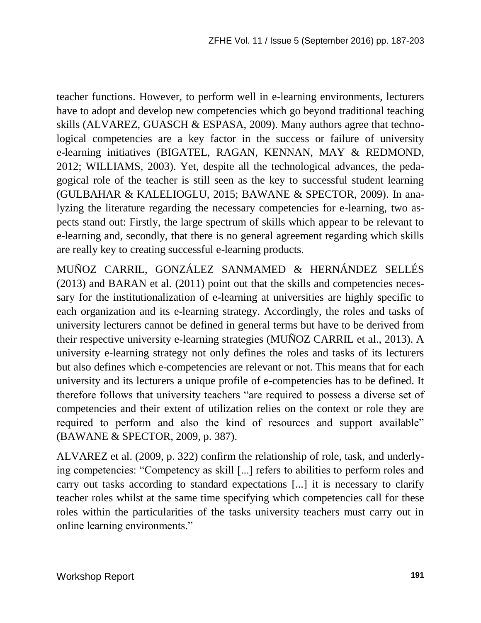teacher functions. However, to perform well in e-learning environments, lecturers have to adopt and develop new competencies which go beyond traditional teaching skills (ALVAREZ, GUASCH & ESPASA, 2009). Many authors agree that technological competencies are a key factor in the success or failure of university e-learning initiatives (BIGATEL, RAGAN, KENNAN, MAY & REDMOND, 2012; WILLIAMS, 2003). Yet, despite all the technological advances, the pedagogical role of the teacher is still seen as the key to successful student learning (GULBAHAR & KALELIOGLU, 2015; BAWANE & SPECTOR, 2009). In analyzing the literature regarding the necessary competencies for e-learning, two aspects stand out: Firstly, the large spectrum of skills which appear to be relevant to e-learning and, secondly, that there is no general agreement regarding which skills are really key to creating successful e-learning products.

MUÑOZ CARRIL, GONZÁLEZ SANMAMED & HERNÁNDEZ SELLÉS (2013) and BARAN et al. (2011) point out that the skills and competencies necessary for the institutionalization of e-learning at universities are highly specific to each organization and its e-learning strategy. Accordingly, the roles and tasks of university lecturers cannot be defined in general terms but have to be derived from their respective university e-learning strategies (MUÑOZ CARRIL et al., 2013). A university e-learning strategy not only defines the roles and tasks of its lecturers but also defines which e-competencies are relevant or not. This means that for each university and its lecturers a unique profile of e-competencies has to be defined. It therefore follows that university teachers "are required to possess a diverse set of competencies and their extent of utilization relies on the context or role they are required to perform and also the kind of resources and support available" (BAWANE & SPECTOR, 2009, p. 387).

ALVAREZ et al. (2009, p. 322) confirm the relationship of role, task, and underlying competencies: "Competency as skill [...] refers to abilities to perform roles and carry out tasks according to standard expectations [...] it is necessary to clarify teacher roles whilst at the same time specifying which competencies call for these roles within the particularities of the tasks university teachers must carry out in online learning environments."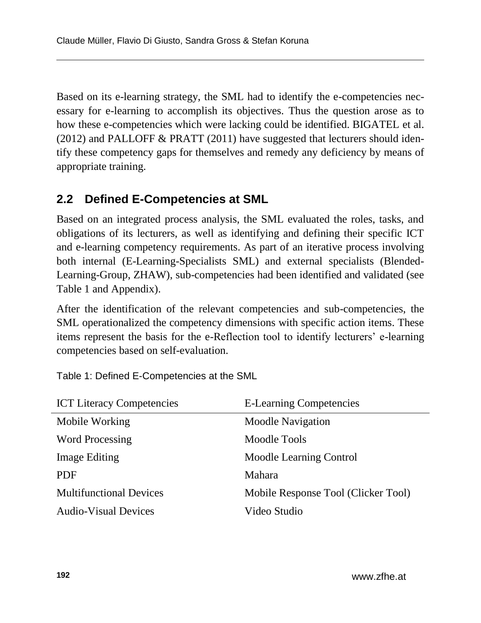Based on its e-learning strategy, the SML had to identify the e-competencies necessary for e-learning to accomplish its objectives. Thus the question arose as to how these e-competencies which were lacking could be identified. BIGATEL et al.  $(2012)$  and PALLOFF & PRATT  $(2011)$  have suggested that lecturers should identify these competency gaps for themselves and remedy any deficiency by means of appropriate training.

### **2.2 Defined E-Competencies at SML**

Based on an integrated process analysis, the SML evaluated the roles, tasks, and obligations of its lecturers, as well as identifying and defining their specific ICT and e-learning competency requirements. As part of an iterative process involving both internal (E-Learning-Specialists SML) and external specialists (Blended-Learning-Group, ZHAW), sub-competencies had been identified and validated (see Table 1 and Appendix).

After the identification of the relevant competencies and sub-competencies, the SML operationalized the competency dimensions with specific action items. These items represent the basis for the e-Reflection tool to identify lecturers' e-learning competencies based on self-evaluation.

Table 1: Defined E-Competencies at the SML

| <b>ICT Literacy Competencies</b> | <b>E-Learning Competencies</b>      |
|----------------------------------|-------------------------------------|
| Mobile Working                   | <b>Moodle Navigation</b>            |
| <b>Word Processing</b>           | Moodle Tools                        |
| <b>Image Editing</b>             | Moodle Learning Control             |
| <b>PDF</b>                       | Mahara                              |
| <b>Multifunctional Devices</b>   | Mobile Response Tool (Clicker Tool) |
| <b>Audio-Visual Devices</b>      | Video Studio                        |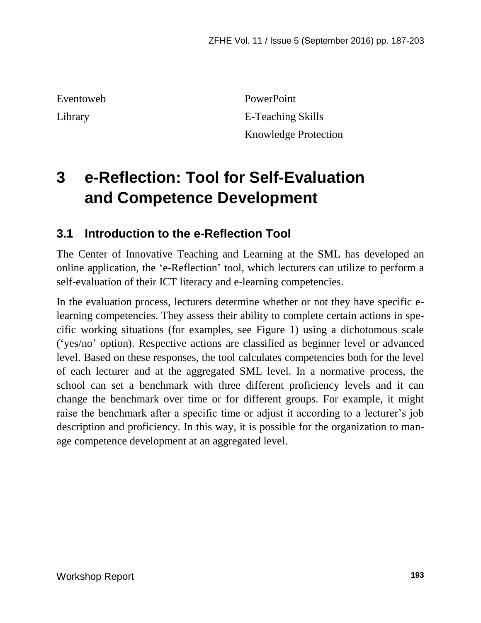Eventoweb PowerPoint Library E-Teaching Skills Knowledge Protection

## **3 e-Reflection: Tool for Self-Evaluation and Competence Development**

### **3.1 Introduction to the e-Reflection Tool**

The Center of Innovative Teaching and Learning at the SML has developed an online application, the 'e-Reflection' tool, which lecturers can utilize to perform a self-evaluation of their ICT literacy and e-learning competencies.

In the evaluation process, lecturers determine whether or not they have specific elearning competencies. They assess their ability to complete certain actions in specific working situations (for examples, see Figure 1) using a dichotomous scale ('yes/no' option). Respective actions are classified as beginner level or advanced level. Based on these responses, the tool calculates competencies both for the level of each lecturer and at the aggregated SML level. In a normative process, the school can set a benchmark with three different proficiency levels and it can change the benchmark over time or for different groups. For example, it might raise the benchmark after a specific time or adjust it according to a lecturer's job description and proficiency. In this way, it is possible for the organization to manage competence development at an aggregated level.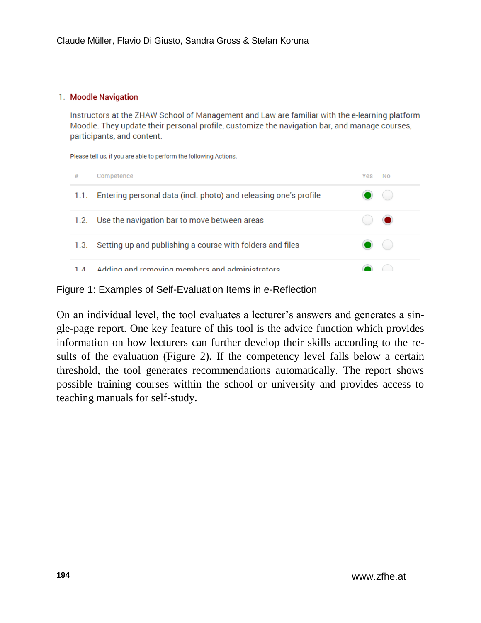#### 1. Moodle Navigation

Instructors at the ZHAW School of Management and Law are familiar with the e-learning platform Moodle. They update their personal profile, customize the navigation bar, and manage courses, participants, and content.

Please tell us, if you are able to perform the following Actions.

| #          | Competence                                                            | Yes | No |
|------------|-----------------------------------------------------------------------|-----|----|
|            | 1.1. Entering personal data (incl. photo) and releasing one's profile |     |    |
|            | 1.2. Use the navigation bar to move between areas                     |     |    |
| 1.3.       | Setting up and publishing a course with folders and files             |     |    |
| $1\Lambda$ | Adding and removing members and administrators                        |     |    |

Figure 1: Examples of Self-Evaluation Items in e-Reflection

On an individual level, the tool evaluates a lecturer's answers and generates a single-page report. One key feature of this tool is the advice function which provides information on how lecturers can further develop their skills according to the results of the evaluation (Figure 2). If the competency level falls below a certain threshold, the tool generates recommendations automatically. The report shows possible training courses within the school or university and provides access to teaching manuals for self-study.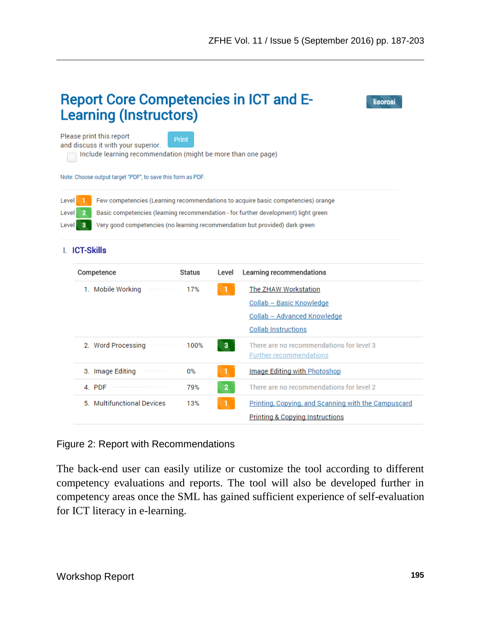|                                                                                                                                                                                                                                                                                                       | <b>Report Core Competencies in ICT and E-</b><br>lisorosi<br><b>Learning (Instructors)</b>                                                                                                     |        |                |                                                                                                               |  |
|-------------------------------------------------------------------------------------------------------------------------------------------------------------------------------------------------------------------------------------------------------------------------------------------------------|------------------------------------------------------------------------------------------------------------------------------------------------------------------------------------------------|--------|----------------|---------------------------------------------------------------------------------------------------------------|--|
|                                                                                                                                                                                                                                                                                                       | Please print this report<br>and discuss it with your superior.<br>Include learning recommendation (might be more than one page)<br>Note: Choose output target "PDF", to save this form as PDF. | Print  |                |                                                                                                               |  |
| Few competencies (Learning recommendations to acquire basic competencies) orange<br>Level<br>Basic competencies (learning recommendation - for further development) light green<br>Level<br>Very good competencies (no learning recommendation but provided) dark green<br>Level<br><b>ICT-Skills</b> |                                                                                                                                                                                                |        |                |                                                                                                               |  |
|                                                                                                                                                                                                                                                                                                       | Competence                                                                                                                                                                                     | Status | Level          | Learning recommendations                                                                                      |  |
|                                                                                                                                                                                                                                                                                                       | 1. Mobile Working                                                                                                                                                                              | 17%    |                | The ZHAW Workstation<br>Collab - Basic Knowledge<br>Collab - Advanced Knowledge<br><b>Collab Instructions</b> |  |
|                                                                                                                                                                                                                                                                                                       | 2. Word Processing                                                                                                                                                                             | 100%   | 3              | There are no recommendations for level 3<br><b>Further recommendations</b>                                    |  |
|                                                                                                                                                                                                                                                                                                       | 3. Image Editing                                                                                                                                                                               | 0%     |                | Image Editing with Photoshop                                                                                  |  |
|                                                                                                                                                                                                                                                                                                       | 4. PDF                                                                                                                                                                                         | 79%    | $\overline{2}$ | There are no recommendations for level 2                                                                      |  |
|                                                                                                                                                                                                                                                                                                       | 5. Multifunctional Devices                                                                                                                                                                     | 13%    |                | Printing, Copying, and Scanning with the Campuscard<br><b>Printing &amp; Copying Instructions</b>             |  |

#### Figure 2: Report with Recommendations

The back-end user can easily utilize or customize the tool according to different competency evaluations and reports. The tool will also be developed further in competency areas once the SML has gained sufficient experience of self-evaluation for ICT literacy in e-learning.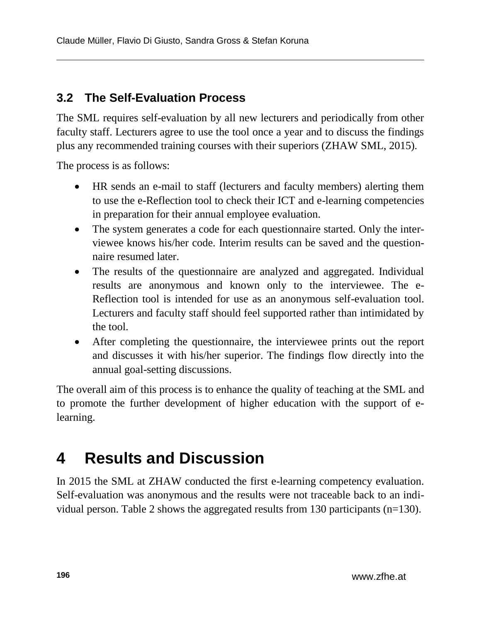### **3.2 The Self-Evaluation Process**

The SML requires self-evaluation by all new lecturers and periodically from other faculty staff. Lecturers agree to use the tool once a year and to discuss the findings plus any recommended training courses with their superiors (ZHAW SML, 2015).

The process is as follows:

- HR sends an e-mail to staff (lecturers and faculty members) alerting them to use the e-Reflection tool to check their ICT and e-learning competencies in preparation for their annual employee evaluation.
- The system generates a code for each questionnaire started. Only the interviewee knows his/her code. Interim results can be saved and the questionnaire resumed later.
- The results of the questionnaire are analyzed and aggregated. Individual results are anonymous and known only to the interviewee. The e-Reflection tool is intended for use as an anonymous self-evaluation tool. Lecturers and faculty staff should feel supported rather than intimidated by the tool.
- After completing the questionnaire, the interviewee prints out the report and discusses it with his/her superior. The findings flow directly into the annual goal-setting discussions.

The overall aim of this process is to enhance the quality of teaching at the SML and to promote the further development of higher education with the support of elearning.

## **4 Results and Discussion**

In 2015 the SML at ZHAW conducted the first e-learning competency evaluation. Self-evaluation was anonymous and the results were not traceable back to an individual person. Table 2 shows the aggregated results from 130 participants (n=130).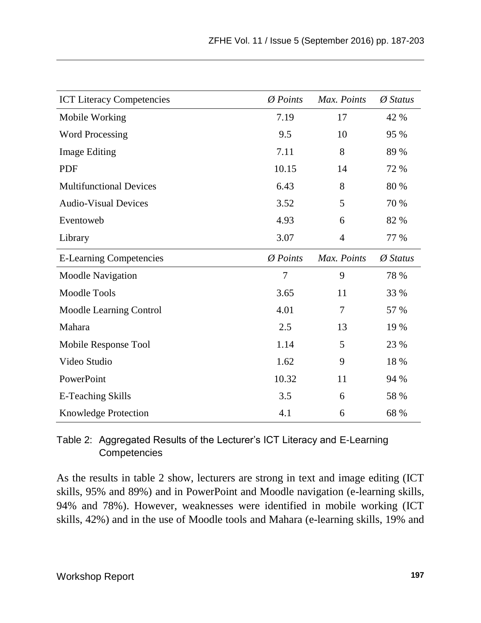| <b>ICT Literacy Competencies</b> | $\emptyset$ Points   | Max. Points | $\emptyset$ Status |
|----------------------------------|----------------------|-------------|--------------------|
| Mobile Working                   | 7.19                 | 17          | 42 %               |
| <b>Word Processing</b>           | 9.5                  | 10          | 95 %               |
| <b>Image Editing</b>             | 7.11                 | 8           | 89 %               |
| <b>PDF</b>                       | 10.15                | 14          | 72 %               |
| <b>Multifunctional Devices</b>   | 6.43                 | 8           | 80 %               |
| <b>Audio-Visual Devices</b>      | 3.52                 | 5           | 70 %               |
| Eventoweb                        | 4.93                 | 6           | 82 %               |
| Library                          | 3.07                 | 4           | 77 %               |
| <b>E-Learning Competencies</b>   | $\varnothing$ Points | Max. Points | $\emptyset$ Status |
| <b>Moodle Navigation</b>         | 7                    | 9           | 78 %               |
| Moodle Tools                     | 3.65                 | 11          | 33 %               |
| Moodle Learning Control          | 4.01                 | 7           | 57 %               |
| Mahara                           | 2.5                  | 13          | 19 %               |
| Mobile Response Tool             | 1.14                 | 5           | 23 %               |
| Video Studio                     | 1.62                 | 9           | 18 %               |
| PowerPoint                       | 10.32                | 11          | 94 %               |
| <b>E-Teaching Skills</b>         | 3.5                  | 6           | 58 %               |
| Knowledge Protection             | 4.1                  | 6           | 68 %               |

Table 2: Aggregated Results of the Lecturer's ICT Literacy and E-Learning **Competencies** 

As the results in table 2 show, lecturers are strong in text and image editing (ICT skills, 95% and 89%) and in PowerPoint and Moodle navigation (e-learning skills, 94% and 78%). However, weaknesses were identified in mobile working (ICT skills, 42%) and in the use of Moodle tools and Mahara (e-learning skills, 19% and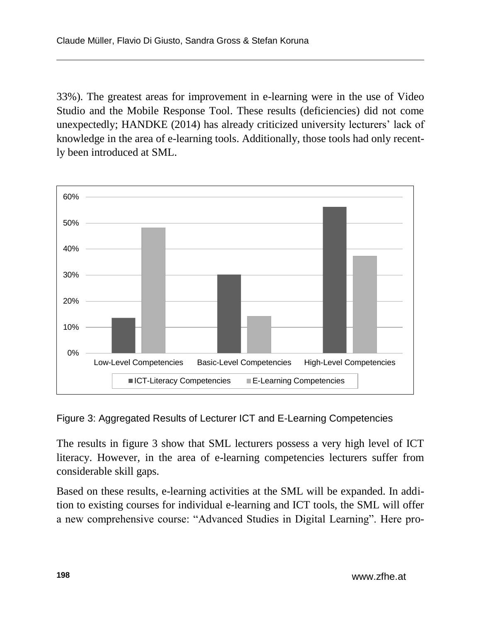33%). The greatest areas for improvement in e-learning were in the use of Video Studio and the Mobile Response Tool. These results (deficiencies) did not come unexpectedly; HANDKE (2014) has already criticized university lecturers' lack of knowledge in the area of e-learning tools. Additionally, those tools had only recently been introduced at SML.



Figure 3: Aggregated Results of Lecturer ICT and E-Learning Competencies

The results in figure 3 show that SML lecturers possess a very high level of ICT literacy. However, in the area of e-learning competencies lecturers suffer from considerable skill gaps.

Based on these results, e-learning activities at the SML will be expanded. In addition to existing courses for individual e-learning and ICT tools, the SML will offer a new comprehensive course: "Advanced Studies in Digital Learning". Here pro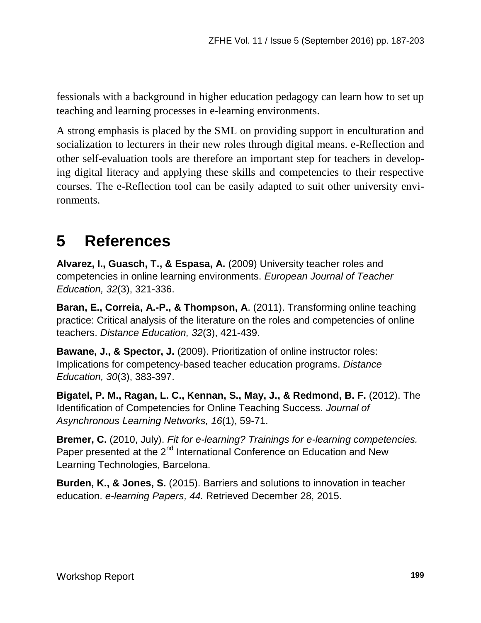fessionals with a background in higher education pedagogy can learn how to set up teaching and learning processes in e-learning environments.

A strong emphasis is placed by the SML on providing support in enculturation and socialization to lecturers in their new roles through digital means. e-Reflection and other self-evaluation tools are therefore an important step for teachers in developing digital literacy and applying these skills and competencies to their respective courses. The e-Reflection tool can be easily adapted to suit other university environments.

### **5 References**

**Alvarez, I., Guasch, T., & Espasa, A.** (2009) University teacher roles and competencies in online learning environments. *European Journal of Teacher Education, 32*(3), 321-336.

**Baran, E., Correia, A.-P., & Thompson, A**. (2011). Transforming online teaching practice: Critical analysis of the literature on the roles and competencies of online teachers. *Distance Education, 32*(3), 421-439.

**Bawane, J., & Spector, J.** (2009). Prioritization of online instructor roles: Implications for competency-based teacher education programs. *Distance Education, 30*(3), 383-397.

**Bigatel, P. M., Ragan, L. C., Kennan, S., May, J., & Redmond, B. F.** (2012). The Identification of Competencies for Online Teaching Success. *Journal of Asynchronous Learning Networks, 16*(1), 59-71.

**Bremer, C.** (2010, July). *Fit for e-learning? Trainings for e-learning competencies.* Paper presented at the 2<sup>nd</sup> International Conference on Education and New Learning Technologies, Barcelona.

**Burden, K., & Jones, S.** (2015). Barriers and solutions to innovation in teacher education. *e-learning Papers, 44.* Retrieved December 28, 2015.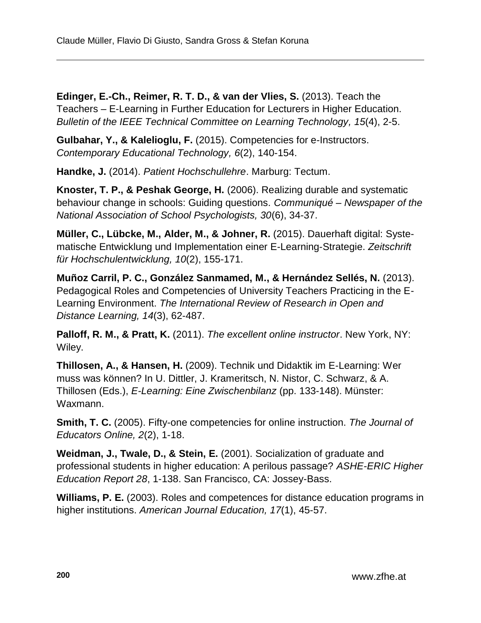**Edinger, E.-Ch., Reimer, R. T. D., & van der Vlies, S.** (2013). Teach the Teachers – E-Learning in Further Education for Lecturers in Higher Education. *Bulletin of the IEEE Technical Committee on Learning Technology, 15*(4), 2-5.

**Gulbahar, Y., & Kalelioglu, F.** (2015). Competencies for e-Instructors. *Contemporary Educational Technology, 6*(2), 140-154.

**Handke, J.** (2014). *Patient Hochschullehre*. Marburg: Tectum.

**Knoster, T. P., & Peshak George, H.** (2006). Realizing durable and systematic behaviour change in schools: Guiding questions. *Communiqué* – *Newspaper of the National Association of School Psychologists, 30*(6), 34-37.

**Müller, C., Lübcke, M., Alder, M., & Johner, R.** (2015). Dauerhaft digital: Systematische Entwicklung und Implementation einer E-Learning-Strategie. *Zeitschrift für Hochschulentwicklung, 10*(2), 155-171.

**Muñoz Carril, P. C., González Sanmamed, M., & Hernández Sellés, N.** (2013). Pedagogical Roles and Competencies of University Teachers Practicing in the E-Learning Environment. *The International Review of Research in Open and Distance Learning, 14*(3), 62-487.

**Palloff, R. M., & Pratt, K.** (2011). *The excellent online instructor*. New York, NY: Wiley.

**Thillosen, A., & Hansen, H.** (2009). Technik und Didaktik im E-Learning: Wer muss was können? In U. Dittler, J. Krameritsch, N. Nistor, C. Schwarz, & A. Thillosen (Eds.), *E-Learning: Eine Zwischenbilanz* (pp. 133-148). Münster: Waxmann.

**Smith, T. C.** (2005). Fifty-one competencies for online instruction. *The Journal of Educators Online, 2*(2), 1-18.

**Weidman, J., Twale, D., & Stein, E.** (2001). Socialization of graduate and professional students in higher education: A perilous passage? *ASHE-ERIC Higher Education Report 28*, 1-138. San Francisco, CA: Jossey-Bass.

**Williams, P. E.** (2003). Roles and competences for distance education programs in higher institutions. *American Journal Education, 17*(1), 45-57.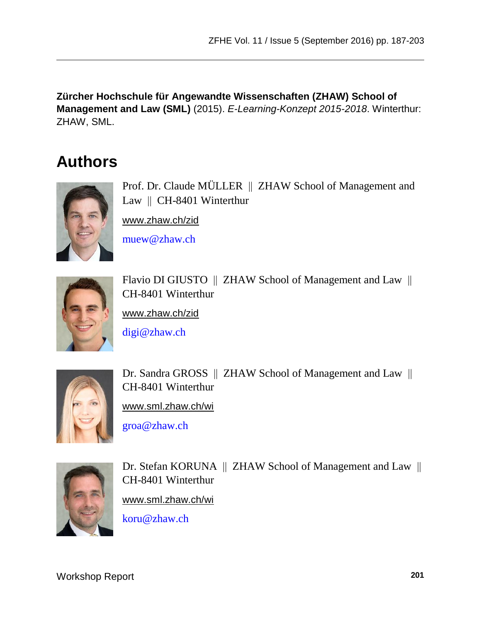**Zürcher Hochschule für Angewandte Wissenschaften (ZHAW) School of Management and Law (SML)** (2015). *E-Learning-Konzept 2015-2018*. Winterthur: ZHAW, SML.

## **Authors**



Prof. Dr. Claude MÜLLER | ZHAW School of Management and Law  $\parallel$  CH-8401 Winterthur

[www.zhaw.ch/zid](http://www.zhaw.ch/zid)

[muew@zhaw.ch](mailto:muew@zhaw.ch)



Flavio DI GIUSTO || ZHAW School of Management and Law || CH-8401 Winterthur

[www.zhaw.ch/zid](http://www.zhaw.ch/zid)

[digi@zhaw.ch](mailto:digi@zhaw.ch)



Dr. Sandra GROSS || ZHAW School of Management and Law || CH-8401 Winterthur

[www.sml.zhaw.ch/wi](http://www.sml.zhaw.ch/wi)

[groa@zhaw.ch](mailto:groa@zhaw.ch)



Dr. Stefan KORUNA || ZHAW School of Management and Law || CH-8401 Winterthur [www.sml.zhaw.ch/wi](http://www.sml.zhaw.ch/wi) [koru@zhaw.ch](mailto:koru@zhaw.ch)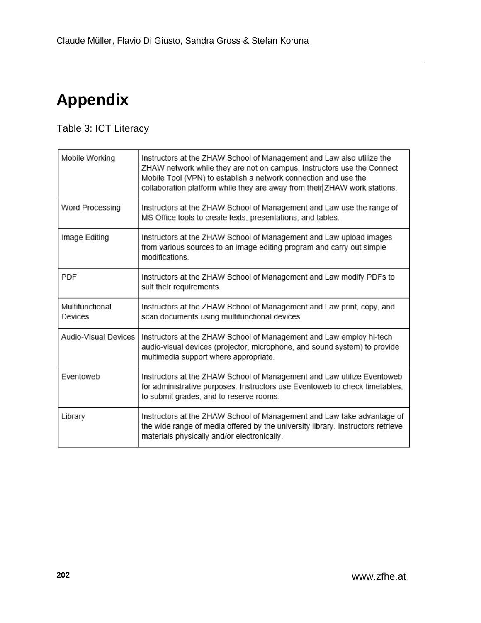# **Appendix**

### Table 3: ICT Literacy

| Mobile Working             | Instructors at the ZHAW School of Management and Law also utilize the<br>ZHAW network while they are not on campus. Instructors use the Connect<br>Mobile Tool (VPN) to establish a network connection and use the<br>collaboration platform while they are away from their ZHAW work stations. |
|----------------------------|-------------------------------------------------------------------------------------------------------------------------------------------------------------------------------------------------------------------------------------------------------------------------------------------------|
| Word Processing            | Instructors at the ZHAW School of Management and Law use the range of<br>MS Office tools to create texts, presentations, and tables.                                                                                                                                                            |
| Image Editing              | Instructors at the ZHAW School of Management and Law upload images<br>from various sources to an image editing program and carry out simple<br>modifications.                                                                                                                                   |
| <b>PDF</b>                 | Instructors at the ZHAW School of Management and Law modify PDFs to<br>suit their requirements.                                                                                                                                                                                                 |
| Multifunctional<br>Devices | Instructors at the ZHAW School of Management and Law print, copy, and<br>scan documents using multifunctional devices.                                                                                                                                                                          |
| Audio-Visual Devices       | Instructors at the ZHAW School of Management and Law employ hi-tech<br>audio-visual devices (projector, microphone, and sound system) to provide<br>multimedia support where appropriate.                                                                                                       |
| Eventoweb                  | Instructors at the ZHAW School of Management and Law utilize Eventoweb<br>for administrative purposes. Instructors use Eventoweb to check timetables,<br>to submit grades, and to reserve rooms.                                                                                                |
| Library                    | Instructors at the ZHAW School of Management and Law take advantage of<br>the wide range of media offered by the university library. Instructors retrieve<br>materials physically and/or electronically.                                                                                        |